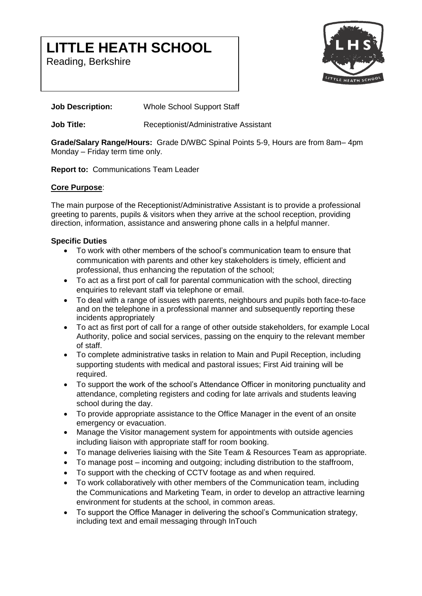# **LITTLE HEATH SCHOOL**

Reading, Berkshire



# **Job Description:** Whole School Support Staff

**Job Title:** Receptionist/Administrative Assistant

**Grade/Salary Range/Hours:** Grade D/WBC Spinal Points 5-9, Hours are from 8am– 4pm Monday – Friday term time only.

**Report to:** Communications Team Leader

# **Core Purpose**:

The main purpose of the Receptionist/Administrative Assistant is to provide a professional greeting to parents, pupils & visitors when they arrive at the school reception, providing direction, information, assistance and answering phone calls in a helpful manner.

# **Specific Duties**

- To work with other members of the school's communication team to ensure that communication with parents and other key stakeholders is timely, efficient and professional, thus enhancing the reputation of the school;
- To act as a first port of call for parental communication with the school, directing enquiries to relevant staff via telephone or email.
- To deal with a range of issues with parents, neighbours and pupils both face-to-face and on the telephone in a professional manner and subsequently reporting these incidents appropriately
- To act as first port of call for a range of other outside stakeholders, for example Local Authority, police and social services, passing on the enquiry to the relevant member of staff.
- To complete administrative tasks in relation to Main and Pupil Reception, including supporting students with medical and pastoral issues; First Aid training will be required.
- To support the work of the school's Attendance Officer in monitoring punctuality and attendance, completing registers and coding for late arrivals and students leaving school during the day.
- To provide appropriate assistance to the Office Manager in the event of an onsite emergency or evacuation.
- Manage the Visitor management system for appointments with outside agencies including liaison with appropriate staff for room booking.
- To manage deliveries liaising with the Site Team & Resources Team as appropriate.
- To manage post incoming and outgoing; including distribution to the staffroom,
- To support with the checking of CCTV footage as and when required.
- To work collaboratively with other members of the Communication team, including the Communications and Marketing Team, in order to develop an attractive learning environment for students at the school, in common areas.
- To support the Office Manager in delivering the school's Communication strategy, including text and email messaging through InTouch